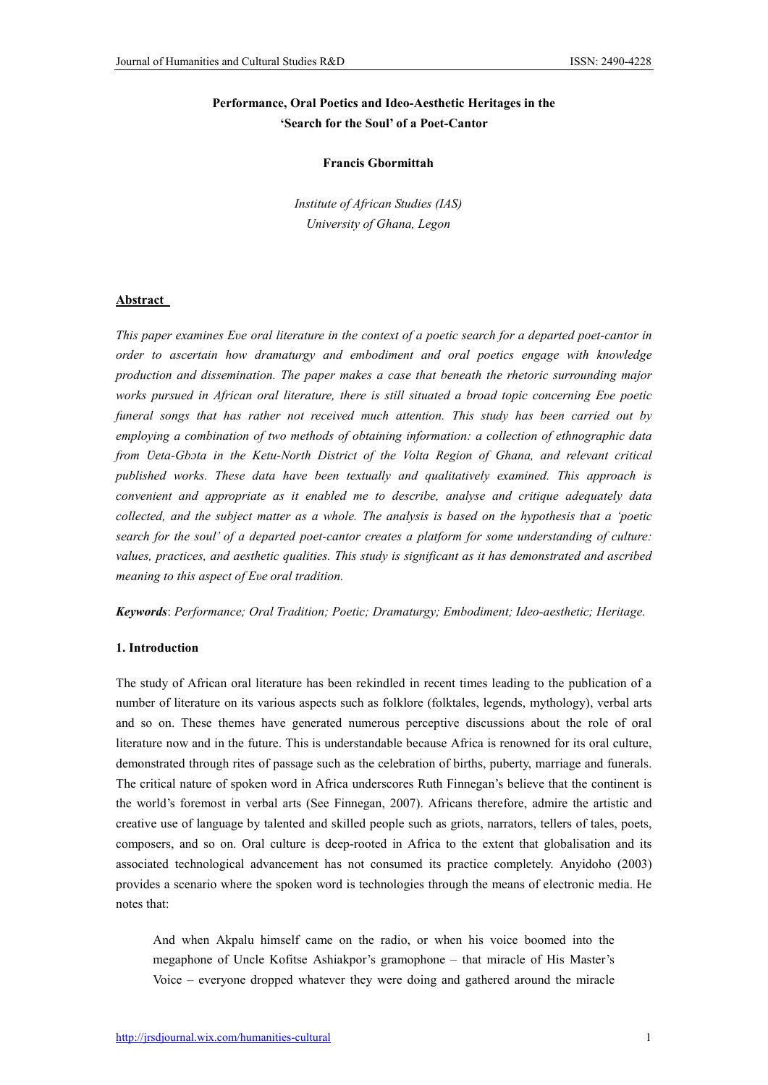# Performance, Oral Poetics and Ideo-Aesthetic Heritages in the 'Search for the Soul' of a Poet-Cantor

## Francis Gbormittah

*Institute of African Studies (IAS) University of Ghana, Legon*

#### Abstract

*This paper examines Eυe oral literature in the context of a poetic search for a departed poet-cantor in order to ascertain how dramaturgy and embodiment and oral poetics engage with knowledge production and dissemination. The paper makes a case that beneath the rhetoric surrounding major works pursued in African oral literature, there is still situated a broad topic concerning Eυe poetic funeral songs that has rather not received much attention. This study has been carried out by employing a combination of two methods of obtaining information: a collection of ethnographic data from Ʋeta-Gbɔta in the Ketu-North District of the Volta Region of Ghana, and relevant critical published works. These data have been textually and qualitatively examined. This approach is convenient and appropriate as it enabled me to describe, analyse and critique adequately data collected, and the subject matter as a whole. The analysis is based on the hypothesis that a 'poetic search for the soul' of a departed poet-cantor creates a platform for some understanding of culture: values, practices, and aesthetic qualities. This study is significant as it has demonstrated and ascribed meaning to this aspect of Eυe oral tradition.*

*Keywords*: *Performance; Oral Tradition; Poetic; Dramaturgy; Embodiment; Ideo-aesthetic; Heritage.*

### 1. Introduction

The study of African oral literature has been rekindled in recent times leading to the publication of a number of literature on its various aspects such as folklore (folktales, legends, mythology), verbal arts and so on. These themes have generated numerous perceptive discussions about the role of oral literature now and in the future. This is understandable because Africa is renowned for its oral culture, demonstrated through rites of passage such as the celebration of births, puberty, marriage and funerals. The critical nature of spoken word in Africa underscores Ruth Finnegan's believe that the continent is the world's foremost in verbal arts (See Finnegan, 2007). Africans therefore, admire the artistic and creative use of language by talented and skilled people such as griots, narrators, tellers of tales, poets, composers, and so on. Oral culture is deep-rooted in Africa to the extent that globalisation and its associated technological advancement has not consumed its practice completely. Anyidoho (2003) provides a scenario where the spoken word is technologies through the means of electronic media. He notes that:

And when Akpalu himself came on the radio, or when his voice boomed into the megaphone of Uncle Kofitse Ashiakpor's gramophone – that miracle of His Master's Voice – everyone dropped whatever they were doing and gathered around the miracle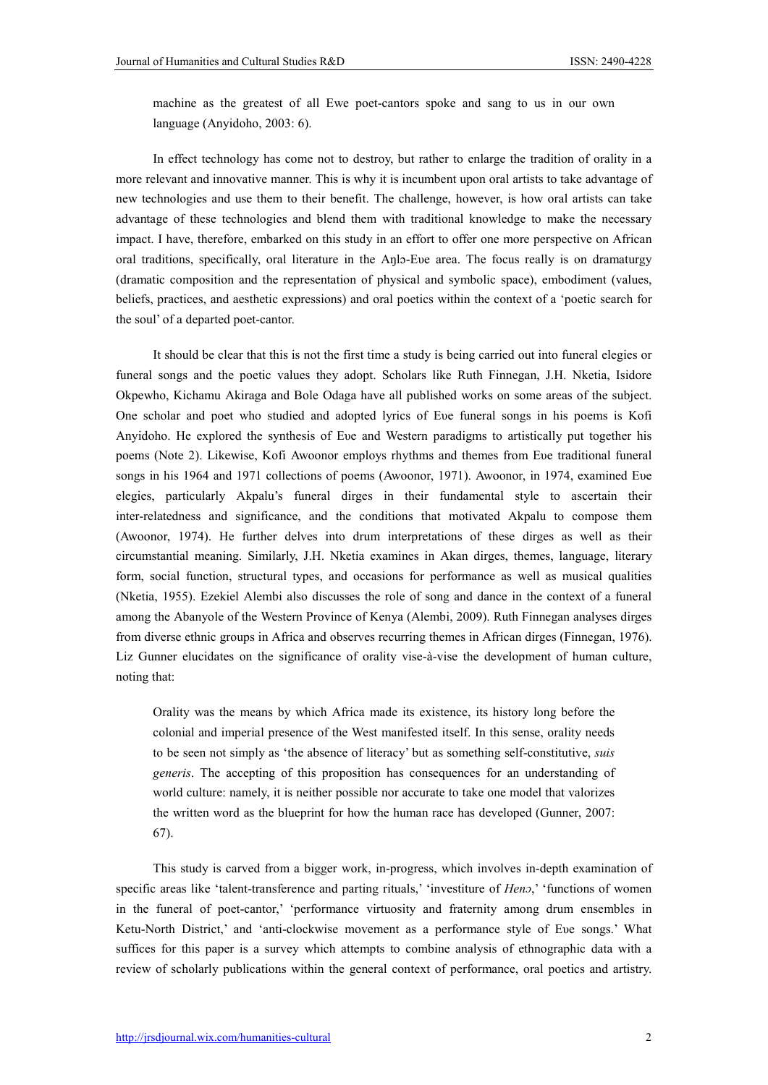machine as the greatest of all Ewe poet-cantors spoke and sang to us in our own language (Anyidoho, 2003: 6).

In effect technology has come not to destroy, but rather to enlarge the tradition of orality in a more relevant and innovative manner. This is why it is incumbent upon oral artists to take advantage of new technologies and use them to their benefit. The challenge, however, is how oral artists can take advantage of these technologies and blend them with traditional knowledge to make the necessary impact. I have, therefore, embarked on this study in an effort to offer one more perspective on African oral traditions, specifically, oral literature in the Aŋlɔ-Eυe area. The focus really is on dramaturgy (dramatic composition and the representation of physical and symbolic space), embodiment (values, beliefs, practices, and aesthetic expressions) and oral poetics within the context of a 'poetic search for the soul' of a departed poet-cantor.

It should be clear that this is not the first time a study is being carried out into funeral elegies or funeral songs and the poetic values they adopt. Scholars like Ruth Finnegan, J.H. Nketia, Isidore Okpewho, Kichamu Akiraga and Bole Odaga have all published works on some areas of the subject. One scholar and poet who studied and adopted lyrics of Eυe funeral songs in his poems is Kofi Anyidoho. He explored the synthesis of Eυe and Western paradigms to artistically put together his poems (Note 2). Likewise, Kofi Awoonor employs rhythms and themes from Eυe traditional funeral songs in his 1964 and 1971 collections of poems (Awoonor, 1971). Awoonor, in 1974, examined Eυe elegies, particularly Akpalu's funeral dirges in their fundamental style to ascertain their inter-relatedness and significance, and the conditions that motivated Akpalu to compose them (Awoonor, 1974). He further delves into drum interpretations of these dirges as well as their circumstantial meaning. Similarly, J.H. Nketia examines in Akan dirges, themes, language, literary form, social function, structural types, and occasions for performance as well as musical qualities (Nketia, 1955). Ezekiel Alembi also discusses the role of song and dance in the context of a funeral among the Abanyole of the Western Province of Kenya (Alembi, 2009). Ruth Finnegan analyses dirges from diverse ethnic groups in Africa and observes recurring themes in African dirges (Finnegan, 1976). Liz Gunner elucidates on the significance of orality vise-à-vise the development of human culture, noting that:

Orality was the means by which Africa made its existence, its history long before the colonial and imperial presence of the West manifested itself. In this sense, orality needs to be seen not simply as 'the absence of literacy' but as something self-constitutive, *suis generis*. The accepting of this proposition has consequences for an understanding of world culture: namely, it is neither possible nor accurate to take one model that valorizes the written word as the blueprint for how the human race has developed (Gunner, 2007: 67).

This study is carved from a bigger work, in-progress, which involves in-depth examination of specific areas like 'talent-transference and parting rituals,' 'investiture of *Heno*,' 'functions of women in the funeral of poet-cantor,' 'performance virtuosity and fraternity among drum ensembles in Ketu-North District,' and 'anti-clockwise movement as a performance style of Eve songs.' What suffices for this paper is a survey which attempts to combine analysis of ethnographic data with a review of scholarly publications within the general context of performance, oral poetics and artistry.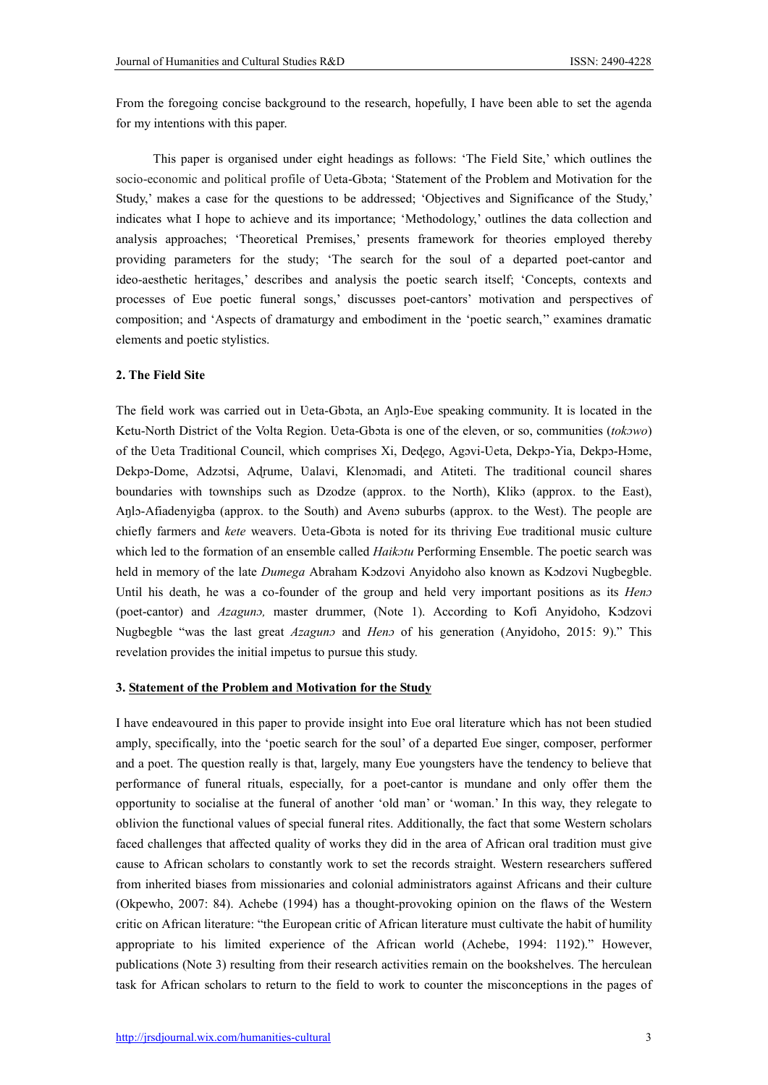From the foregoing concise background to the research, hopefully, I have been able to set the agenda for my intentions with this paper.

This paper is organised under eight headings as follows: 'The Field Site,' which outlines the socio-economic and political profile of Ueta-Gbota; 'Statement of the Problem and Motivation for the Study,' makes a case for the questions to be addressed; 'Objectives and Significance of the Study,' indicates what I hope to achieve and its importance; 'Methodology,' outlines the data collection and analysis approaches; 'Theoretical Premises,' presents framework for theories employed thereby providing parameters for the study; 'The search for the soul of a departed poet-cantor and ideo-aesthetic heritages,' describes and analysis the poetic search itself; 'Concepts, contexts and processes of Eυe poetic funeral songs,' discusses poet-cantors' motivation and perspectives of composition; and 'Aspects of dramaturgy and embodiment in the 'poetic search,'' examines dramatic elements and poetic stylistics.

# 2. The Field Site

The field work was carried out in Ueta-Gbota, an Aŋlɔ-Eʋe speaking community. It is located in the Ketu-North District of the Volta Region. Ueta-Gbota is one of the eleven, or so, communities (*tok*owo) of the Ueta Traditional Council, which comprises Xi, Dedego, Agovi-Ueta, Dekpo-Yia, Dekpo-Home, Dekpo-Dome, Adzotsi, Adrume, Ualavi, Klenomadi, and Atiteti. The traditional council shares boundaries with townships such as Dzodze (approx. to the North), Kliko (approx. to the East), Aŋlɔ-Afiadenyigba (approx. to the South) and Avenɔ suburbs (approx. to the West). The people are chiefly farmers and *kete* weavers. Ueta-Gbota is noted for its thriving Eve traditional music culture which led to the formation of an ensemble called *Haikotu* Performing Ensemble. The poetic search was held in memory of the late *Dumega* Abraham Kɔdzovi Anyidoho also known as Kɔdzovi Nugbegble. Until his death, he was a co-founder of the group and held very important positions as its *Henɔ* (poet-cantor) and *Azagunɔ,* master drummer, (Note 1). According to Kofi Anyidoho, Kɔdzovi Nugbegble "was the last great *Azagunɔ* and *Henɔ* of his generation (Anyidoho, 2015: 9)." This revelation provides the initial impetus to pursue this study.

## 3. Statement of the Problem and Motivation for the Study

I have endeavoured in this paper to provide insight into Eυe oral literature which has not been studied amply, specifically, into the 'poetic search for the soul' of a departed Eυe singer, composer, performer and a poet. The question really is that, largely, many Eυe youngsters have the tendency to believe that performance of funeral rituals, especially, for a poet-cantor is mundane and only offer them the opportunity to socialise at the funeral of another 'old man' or 'woman.' In this way, they relegate to oblivion the functional values of special funeral rites. Additionally, the fact that some Western scholars faced challenges that affected quality of works they did in the area of African oral tradition must give cause to African scholars to constantly work to set the records straight. Western researchers suffered from inherited biases from missionaries and colonial administrators against Africans and their culture (Okpewho, 2007: 84). Achebe (1994) has a thought-provoking opinion on the flaws of the Western critic on African literature: "the European critic of African literature must cultivate the habit of humility appropriate to his limited experience of the African world (Achebe, 1994: 1192)." However, publications (Note 3) resulting from their research activities remain on the bookshelves. The herculean task for African scholars to return to the field to work to counter the misconceptions in the pages of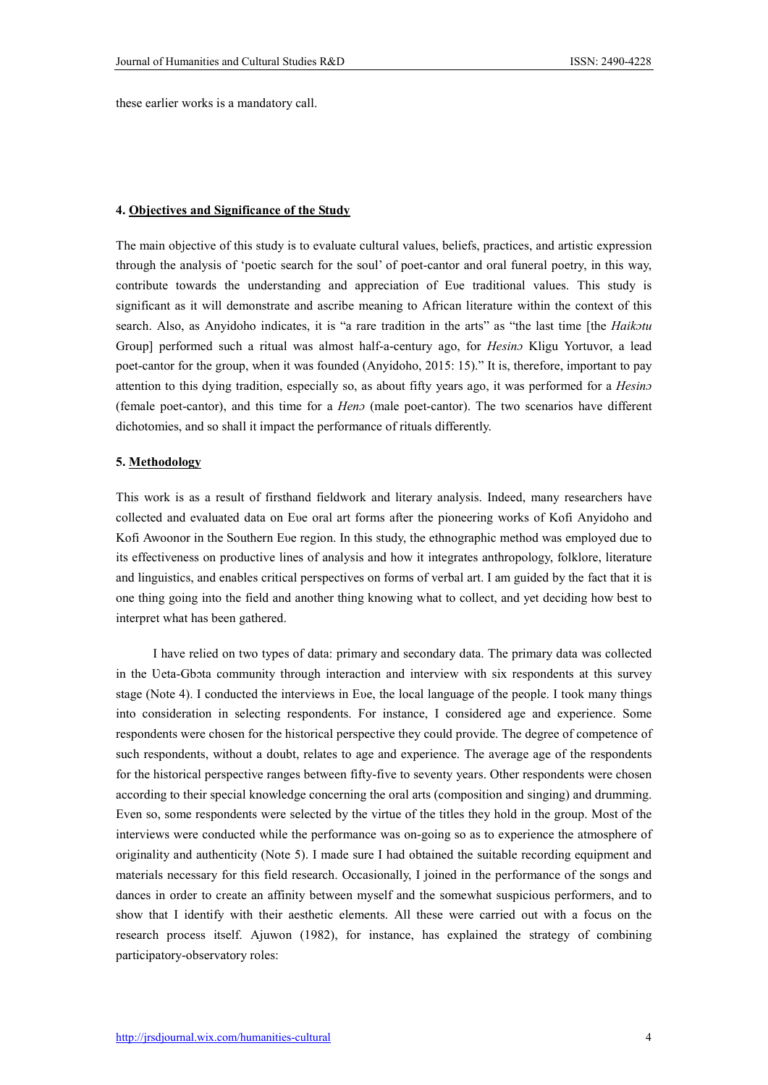these earlier works is a mandatory call.

#### 4. Objectives and Significance of the Study

The main objective of this study is to evaluate cultural values, beliefs, practices, and artistic expression through the analysis of 'poetic search for the soul' of poet-cantor and oral funeral poetry, in this way, contribute towards the understanding and appreciation of Eve traditional values. This study is significant as it will demonstrate and ascribe meaning to African literature within the context of this search. Also, as Anyidoho indicates, it is "a rare tradition in the arts" as "the last time [the *Haikɔtu*  Group] performed such a ritual was almost half-a-century ago, for *Hesinɔ* Kligu Yortuvor, a lead poet-cantor for the group, when it was founded (Anyidoho, 2015: 15)." It is, therefore, important to pay attention to this dying tradition, especially so, as about fifty years ago, it was performed for a *Hesinɔ* (female poet-cantor), and this time for a *Henɔ* (male poet-cantor). The two scenarios have different dichotomies, and so shall it impact the performance of rituals differently.

#### 5. Methodology

This work is as a result of firsthand fieldwork and literary analysis. Indeed, many researchers have collected and evaluated data on Eυe oral art forms after the pioneering works of Kofi Anyidoho and Kofi Awoonor in the Southern Eυe region. In this study, the ethnographic method was employed due to its effectiveness on productive lines of analysis and how it integrates anthropology, folklore, literature and linguistics, and enables critical perspectives on forms of verbal art. I am guided by the fact that it is one thing going into the field and another thing knowing what to collect, and yet deciding how best to interpret what has been gathered.

I have relied on two types of data: primary and secondary data. The primary data was collected in the Ueta-Gbota community through interaction and interview with six respondents at this survey stage (Note 4). I conducted the interviews in Eυe, the local language of the people. I took many things into consideration in selecting respondents. For instance, I considered age and experience. Some respondents were chosen for the historical perspective they could provide. The degree of competence of such respondents, without a doubt, relates to age and experience. The average age of the respondents for the historical perspective ranges between fifty-five to seventy years. Other respondents were chosen according to their special knowledge concerning the oral arts (composition and singing) and drumming. Even so, some respondents were selected by the virtue of the titles they hold in the group. Most of the interviews were conducted while the performance was on-going so as to experience the atmosphere of originality and authenticity (Note 5). I made sure I had obtained the suitable recording equipment and materials necessary for this field research. Occasionally, I joined in the performance of the songs and dances in order to create an affinity between myself and the somewhat suspicious performers, and to show that I identify with their aesthetic elements. All these were carried out with a focus on the research process itself. Ajuwon (1982), for instance, has explained the strategy of combining participatory-observatory roles: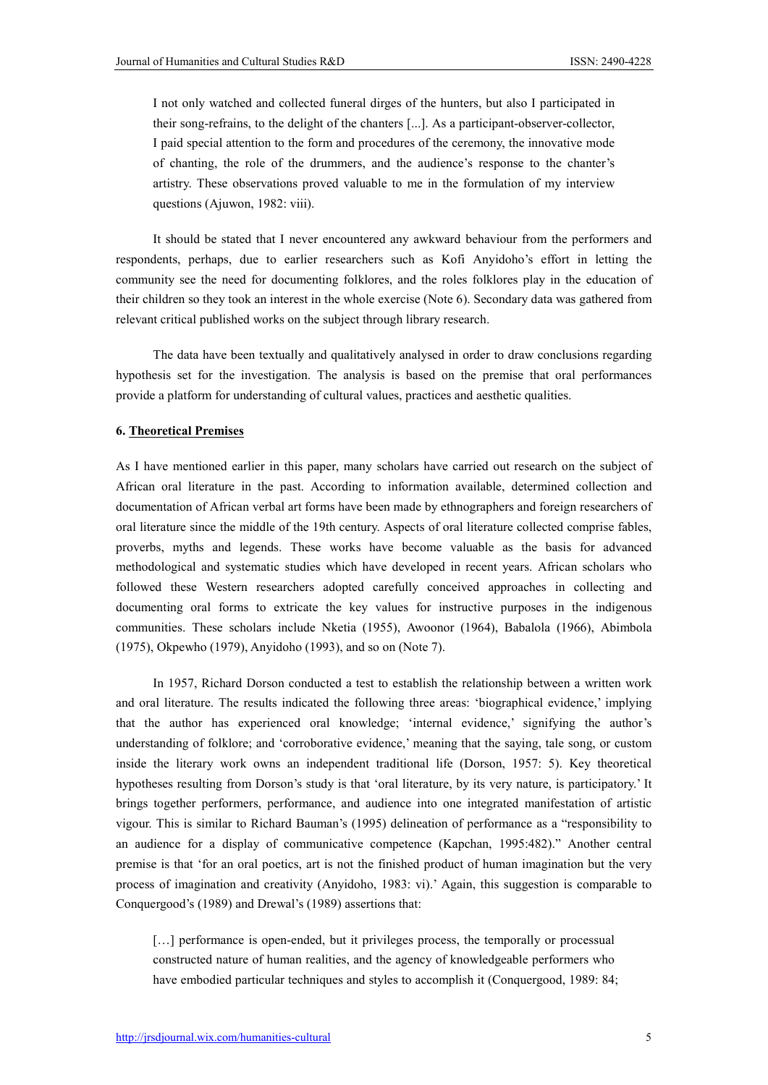I not only watched and collected funeral dirges of the hunters, but also I participated in their song-refrains, to the delight of the chanters [...]. As a participant-observer-collector, I paid special attention to the form and procedures of the ceremony, the innovative mode of chanting, the role of the drummers, and the audience's response to the chanter's artistry. These observations proved valuable to me in the formulation of my interview questions (Ajuwon, 1982: viii).

It should be stated that I never encountered any awkward behaviour from the performers and respondents, perhaps, due to earlier researchers such as Kofi Anyidoho's effort in letting the community see the need for documenting folklores, and the roles folklores play in the education of their children so they took an interest in the whole exercise (Note 6). Secondary data was gathered from relevant critical published works on the subject through library research.

The data have been textually and qualitatively analysed in order to draw conclusions regarding hypothesis set for the investigation. The analysis is based on the premise that oral performances provide a platform for understanding of cultural values, practices and aesthetic qualities.

#### 6. Theoretical Premises

As I have mentioned earlier in this paper, many scholars have carried out research on the subject of African oral literature in the past. According to information available, determined collection and documentation of African verbal art forms have been made by ethnographers and foreign researchers of oral literature since the middle of the 19th century. Aspects of oral literature collected comprise fables, proverbs, myths and legends. These works have become valuable as the basis for advanced methodological and systematic studies which have developed in recent years. African scholars who followed these Western researchers adopted carefully conceived approaches in collecting and documenting oral forms to extricate the key values for instructive purposes in the indigenous communities. These scholars include Nketia (1955), Awoonor (1964), Babalola (1966), Abimbola (1975), Okpewho (1979), Anyidoho (1993), and so on (Note 7).

In 1957, Richard Dorson conducted a test to establish the relationship between a written work and oral literature. The results indicated the following three areas: 'biographical evidence,' implying that the author has experienced oral knowledge; 'internal evidence,' signifying the author's understanding of folklore; and 'corroborative evidence,' meaning that the saying, tale song, or custom inside the literary work owns an independent traditional life (Dorson, 1957: 5). Key theoretical hypotheses resulting from Dorson's study is that 'oral literature, by its very nature, is participatory.' It brings together performers, performance, and audience into one integrated manifestation of artistic vigour. This is similar to Richard Bauman's (1995) delineation of performance as a "responsibility to an audience for a display of communicative competence (Kapchan, 1995:482)." Another central premise is that 'for an oral poetics, art is not the finished product of human imagination but the very process of imagination and creativity (Anyidoho, 1983: vi).' Again, this suggestion is comparable to Conquergood's (1989) and Drewal's (1989) assertions that:

[...] performance is open-ended, but it privileges process, the temporally or processual constructed nature of human realities, and the agency of knowledgeable performers who have embodied particular techniques and styles to accomplish it (Conquergood, 1989: 84;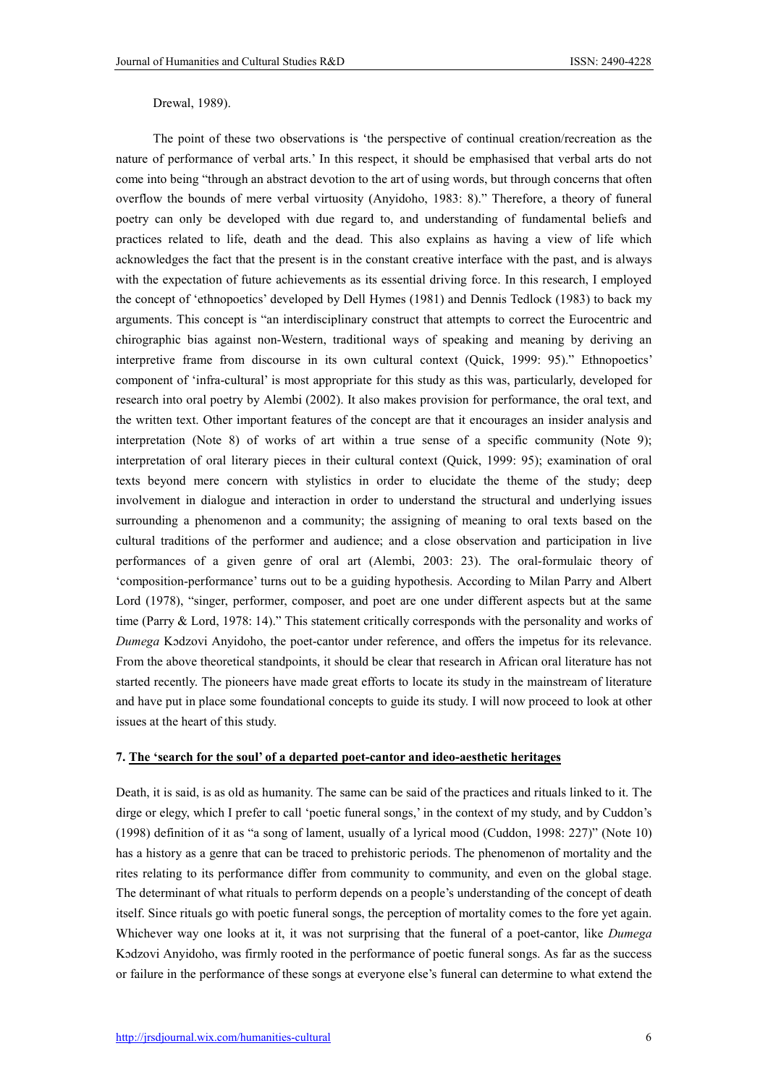### Drewal, 1989).

The point of these two observations is 'the perspective of continual creation/recreation as the nature of performance of verbal arts.' In this respect, it should be emphasised that verbal arts do not come into being "through an abstract devotion to the art of using words, but through concerns that often overflow the bounds of mere verbal virtuosity (Anyidoho, 1983: 8)." Therefore, a theory of funeral poetry can only be developed with due regard to, and understanding of fundamental beliefs and practices related to life, death and the dead. This also explains as having a view of life which acknowledges the fact that the present is in the constant creative interface with the past, and is always with the expectation of future achievements as its essential driving force. In this research, I employed the concept of 'ethnopoetics' developed by Dell Hymes (1981) and Dennis Tedlock (1983) to back my arguments. This concept is "an interdisciplinary construct that attempts to correct the Eurocentric and chirographic bias against non-Western, traditional ways of speaking and meaning by deriving an interpretive frame from discourse in its own cultural context (Quick, 1999: 95)." Ethnopoetics' component of 'infra-cultural' is most appropriate for this study as this was, particularly, developed for research into oral poetry by Alembi (2002). It also makes provision for performance, the oral text, and the written text. Other important features of the concept are that it encourages an insider analysis and interpretation (Note 8) of works of art within a true sense of a specific community (Note 9); interpretation of oral literary pieces in their cultural context (Quick, 1999: 95); examination of oral texts beyond mere concern with stylistics in order to elucidate the theme of the study; deep involvement in dialogue and interaction in order to understand the structural and underlying issues surrounding a phenomenon and a community; the assigning of meaning to oral texts based on the cultural traditions of the performer and audience; and a close observation and participation in live performances of a given genre of oral art (Alembi, 2003: 23). The oral-formulaic theory of 'composition-performance' turns out to be a guiding hypothesis. According to Milan Parry and Albert Lord (1978), "singer, performer, composer, and poet are one under different aspects but at the same time (Parry & Lord, 1978: 14)." This statement critically corresponds with the personality and works of *Dumega* Kɔdzovi Anyidoho, the poet-cantor under reference, and offers the impetus for its relevance. From the above theoretical standpoints, it should be clear that research in African oral literature has not started recently. The pioneers have made great efforts to locate its study in the mainstream of literature and have put in place some foundational concepts to guide its study. I will now proceed to look at other issues at the heart of this study.

### 7. The 'search for the soul' of a departed poet-cantor and ideo-aesthetic heritages

Death, it is said, is as old as humanity. The same can be said of the practices and rituals linked to it. The dirge or elegy, which I prefer to call 'poetic funeral songs,' in the context of my study, and by Cuddon's (1998) definition of it as "a song of lament, usually of a lyrical mood (Cuddon, 1998: 227)" (Note 10) has a history as a genre that can be traced to prehistoric periods. The phenomenon of mortality and the rites relating to its performance differ from community to community, and even on the global stage. The determinant of what rituals to perform depends on a people's understanding of the concept of death itself. Since rituals go with poetic funeral songs, the perception of mortality comes to the fore yet again. Whichever way one looks at it, it was not surprising that the funeral of a poet-cantor, like *Dumega* Kɔdzovi Anyidoho, was firmly rooted in the performance of poetic funeral songs. As far as the success or failure in the performance of these songs at everyone else's funeral can determine to what extend the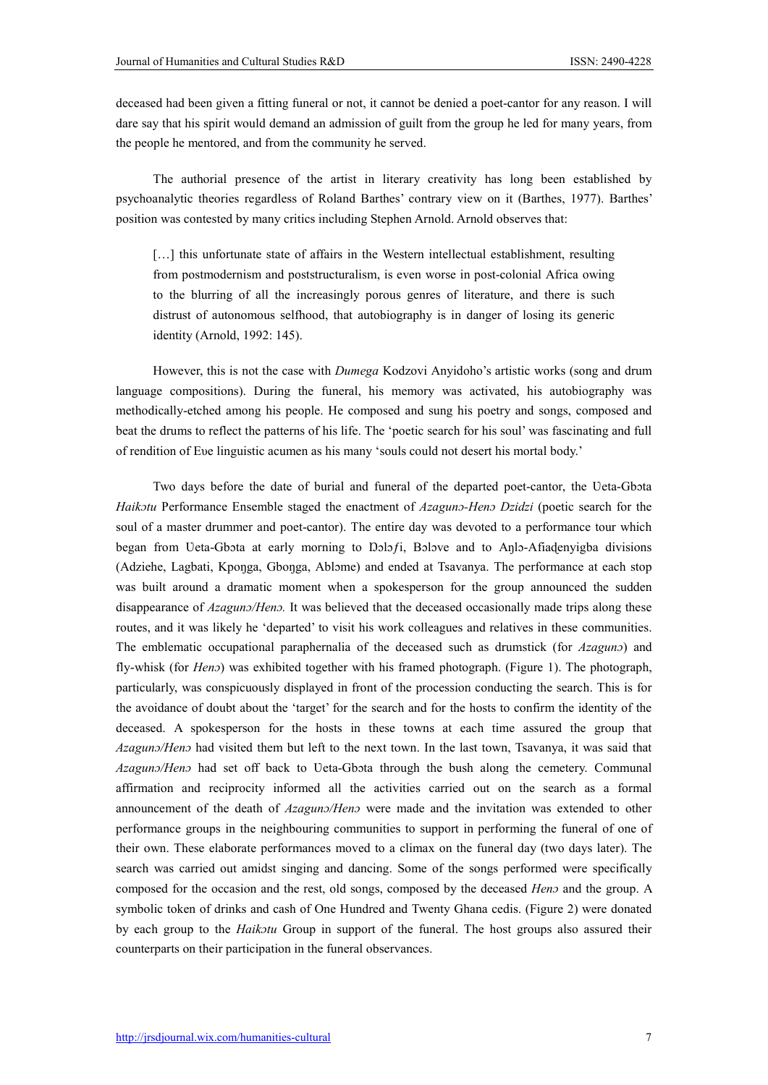deceased had been given a fitting funeral or not, it cannot be denied a poet-cantor for any reason. I will dare say that his spirit would demand an admission of guilt from the group he led for many years, from the people he mentored, and from the community he served.

The authorial presence of the artist in literary creativity has long been established by psychoanalytic theories regardless of Roland Barthes' contrary view on it (Barthes, 1977). Barthes' position was contested by many critics including Stephen Arnold. Arnold observes that:

[...] this unfortunate state of affairs in the Western intellectual establishment, resulting from postmodernism and poststructuralism, is even worse in post-colonial Africa owing to the blurring of all the increasingly porous genres of literature, and there is such distrust of autonomous selfhood, that autobiography is in danger of losing its generic identity (Arnold, 1992: 145).

However, this is not the case with *Dumega* Kodzovi Anyidoho's artistic works (song and drum language compositions). During the funeral, his memory was activated, his autobiography was methodically-etched among his people. He composed and sung his poetry and songs, composed and beat the drums to reflect the patterns of his life. The 'poetic search for his soul' was fascinating and full of rendition of Eυe linguistic acumen as his many 'souls could not desert his mortal body.'

Two days before the date of burial and funeral of the departed poet-cantor, the Ueta-Gbota *Haikɔtu* Performance Ensemble staged the enactment of *Azagunɔ-Henɔ Dzidzi* (poetic search for the soul of a master drummer and poet-cantor). The entire day was devoted to a performance tour which began from Ueta-Gbota at early morning to Dolofi, Bolove and to Anlo-Afiadenyigba divisions (Adziehe, Lagbati, Kpoŋga, Gboŋga, Ablɔme) and ended at Tsavanya. The performance at each stop was built around a dramatic moment when a spokesperson for the group announced the sudden disappearance of *Azagunɔ/Henɔ.* It was believed that the deceased occasionally made trips along these routes, and it was likely he 'departed' to visit his work colleagues and relatives in these communities. The emblematic occupational paraphernalia of the deceased such as drumstick (for *Azagunɔ*) and fly-whisk (for *Henɔ*) was exhibited together with his framed photograph. (Figure 1). The photograph, particularly, was conspicuously displayed in front of the procession conducting the search. This is for the avoidance of doubt about the 'target' for the search and for the hosts to confirm the identity of the deceased. A spokesperson for the hosts in these towns at each time assured the group that *Azagunɔ/Henɔ* had visited them but left to the next town. In the last town, Tsavanya, it was said that Azaguno/Heno had set off back to Ueta-Gbota through the bush along the cemetery. Communal affirmation and reciprocity informed all the activities carried out on the search as a formal announcement of the death of *Azagunɔ/Henɔ* were made and the invitation was extended to other performance groups in the neighbouring communities to support in performing the funeral of one of their own. These elaborate performances moved to a climax on the funeral day (two days later). The search was carried out amidst singing and dancing. Some of the songs performed were specifically composed for the occasion and the rest, old songs, composed by the deceased *Henɔ* and the group. A symbolic token of drinks and cash of One Hundred and Twenty Ghana cedis. (Figure 2) were donated by each group to the *Haikɔtu* Group in support of the funeral. The host groups also assured their counterparts on their participation in the funeral observances.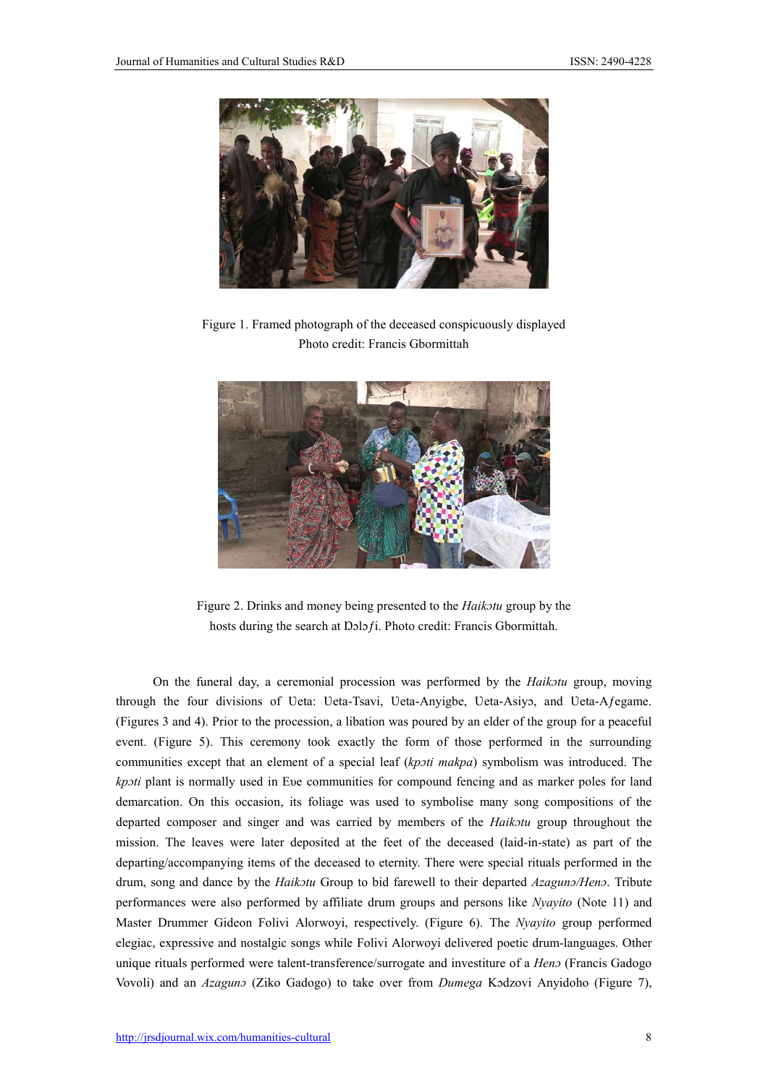

Figure 1. Framed photograph of the deceased conspicuously displayed Photo credit: Francis Gbormittah



Figure 2. Drinks and money being presented to the *Haikɔtu* group by the hosts during the search at Dolofi. Photo credit: Francis Gbormittah.

On the funeral day, a ceremonial procession was performed by the *Haikɔtu* group, moving through the four divisions of Ueta: Ueta-Tsavi, Ueta-Anyigbe, Ueta-Asiyo, and Ueta-Afegame. (Figures 3 and 4). Prior to the procession, a libation was poured by an elder of the group for a peaceful event. (Figure 5). This ceremony took exactly the form of those performed in the surrounding communities except that an element of a special leaf (*kpɔti makpa*) symbolism was introduced. The *kpɔti* plant is normally used in Eυe communities for compound fencing and as marker poles for land demarcation. On this occasion, its foliage was used to symbolise many song compositions of the departed composer and singer and was carried by members of the *Haikɔtu* group throughout the mission. The leaves were later deposited at the feet of the deceased (laid-in-state) as part of the departing/accompanying items of the deceased to eternity. There were special rituals performed in the drum, song and dance by the *Haikɔtu* Group to bid farewell to their departed *Azagunɔ/Henɔ*. Tribute performances were also performed by affiliate drum groups and persons like *Nyayito* (Note 11) and Master Drummer Gideon Folivi Alorwoyi, respectively. (Figure 6). The *Nyayito* group performed elegiac, expressive and nostalgic songs while Folivi Alorwoyi delivered poetic drum-languages. Other unique rituals performed were talent-transference/surrogate and investiture of a *Henɔ* (Francis Gadogo Vovoli) and an *Azagunɔ* (Ziko Gadogo) to take over from *Dumega* Kɔdzovi Anyidoho (Figure 7),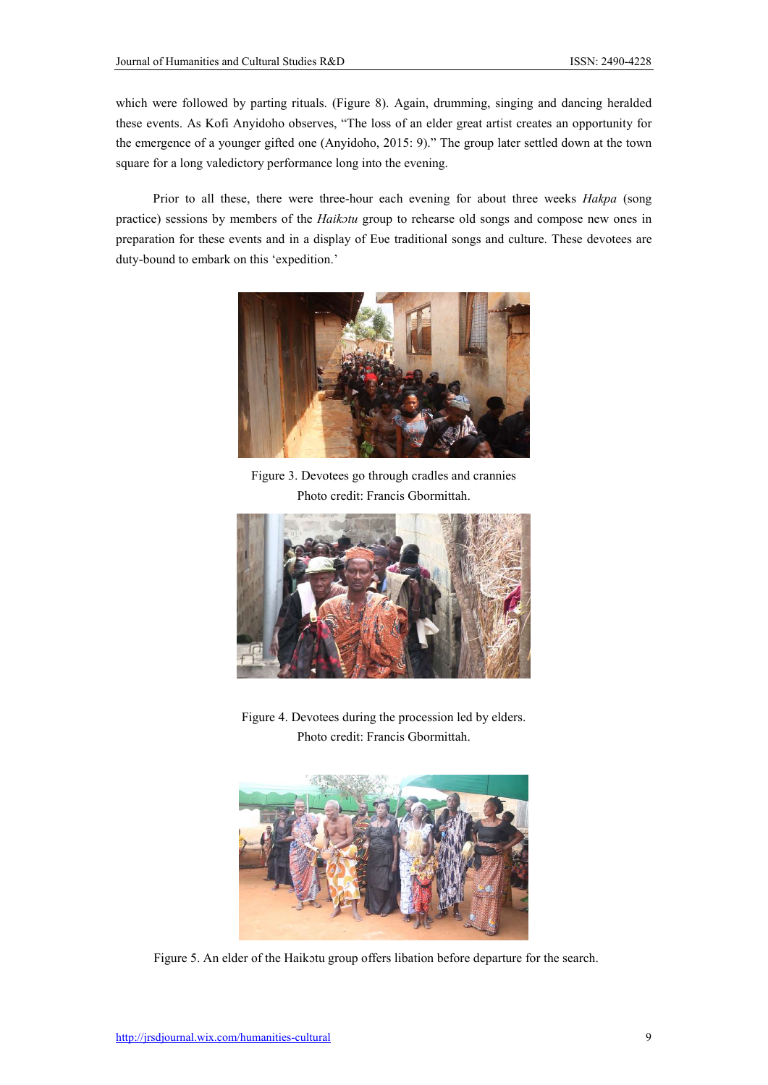which were followed by parting rituals. (Figure 8). Again, drumming, singing and dancing heralded these events. As Kofi Anyidoho observes, "The loss of an elder great artist creates an opportunity for the emergence of a younger gifted one (Anyidoho, 2015: 9)." The group later settled down at the town square for a long valedictory performance long into the evening.

Prior to all these, there were three-hour each evening for about three weeks *Hakpa* (song practice) sessions by members of the *Haikɔtu* group to rehearse old songs and compose new ones in preparation for these events and in a display of Eυe traditional songs and culture. These devotees are duty-bound to embark on this 'expedition.'



Figure 3. Devotees go through cradles and crannies Photo credit: Francis Gbormittah.



Figure 4. Devotees during the procession led by elders. Photo credit: Francis Gbormittah.



Figure 5. An elder of the Haikotu group offers libation before departure for the search.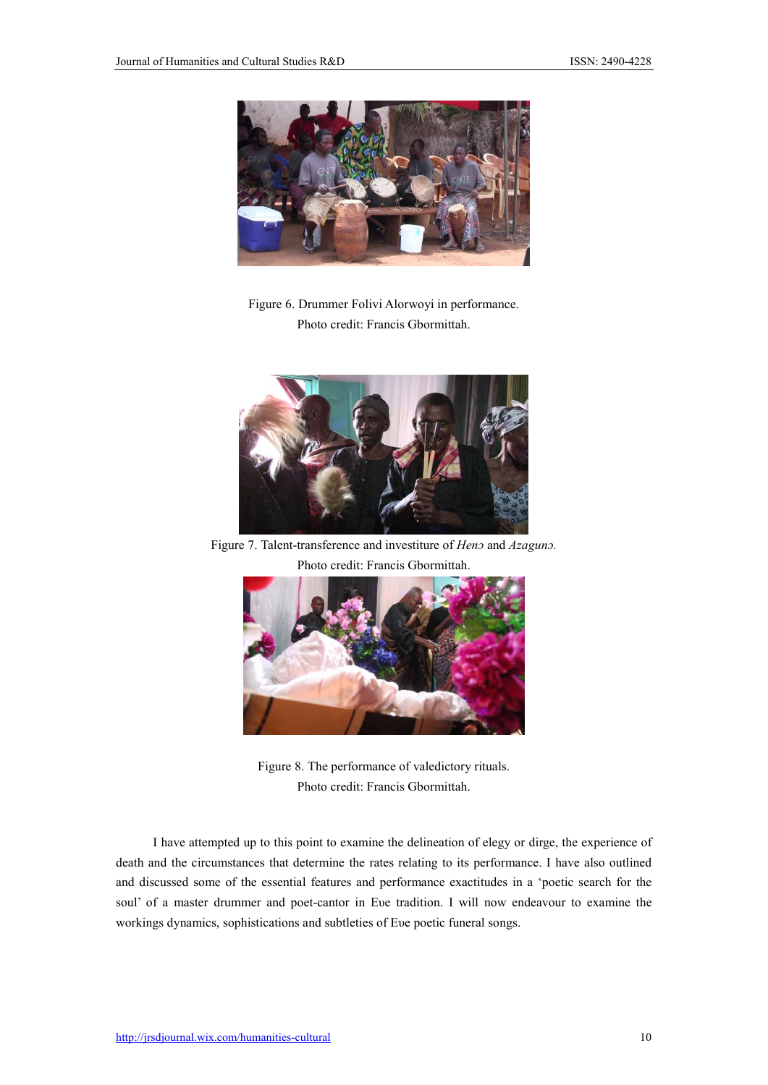

Figure 6. Drummer Folivi Alorwoyi in performance. Photo credit: Francis Gbormittah.



Figure 7. Talent-transference and investiture of *Henɔ* and *Azagunɔ.* Photo credit: Francis Gbormittah.



Figure 8. The performance of valedictory rituals. Photo credit: Francis Gbormittah.

I have attempted up to this point to examine the delineation of elegy or dirge, the experience of death and the circumstances that determine the rates relating to its performance. I have also outlined and discussed some of the essential features and performance exactitudes in a 'poetic search for the soul' of a master drummer and poet-cantor in Eυe tradition. I will now endeavour to examine the workings dynamics, sophistications and subtleties of Eve poetic funeral songs.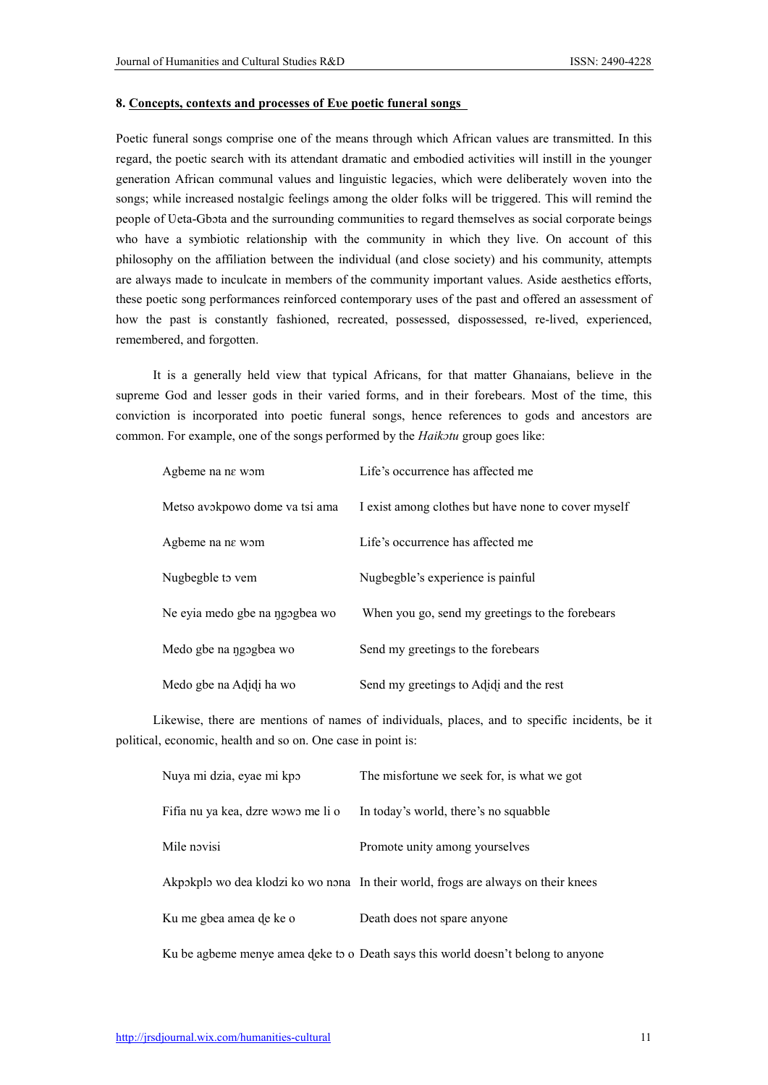#### 8. Concepts, contexts and processes of Eυe poetic funeral songs

Poetic funeral songs comprise one of the means through which African values are transmitted. In this regard, the poetic search with its attendant dramatic and embodied activities will instill in the younger generation African communal values and linguistic legacies, which were deliberately woven into the songs; while increased nostalgic feelings among the older folks will be triggered. This will remind the people of Ueta-Gbota and the surrounding communities to regard themselves as social corporate beings who have a symbiotic relationship with the community in which they live. On account of this philosophy on the affiliation between the individual (and close society) and his community, attempts are always made to inculcate in members of the community important values. Aside aesthetics efforts, these poetic song performances reinforced contemporary uses of the past and offered an assessment of how the past is constantly fashioned, recreated, possessed, dispossessed, re-lived, experienced, remembered, and forgotten.

It is a generally held view that typical Africans, for that matter Ghanaians, believe in the supreme God and lesser gods in their varied forms, and in their forebears. Most of the time, this conviction is incorporated into poetic funeral songs, hence references to gods and ancestors are common. For example, one of the songs performed by the *Haikɔtu* group goes like:

| Agbeme na na wom               | Life's occurrence has affected me                   |
|--------------------------------|-----------------------------------------------------|
| Metso avokpowo dome va tsi ama | I exist among clothes but have none to cover myself |
| Agbeme na na wom               | Life's occurrence has affected me                   |
| Nugbegble to vem               | Nugbegble's experience is painful                   |
| Ne eyia medo gbe na ngogbea wo | When you go, send my greetings to the forebears     |
| Medo gbe na ngogbea wo         | Send my greetings to the forebears                  |
| Medo gbe na Adidi ha wo        | Send my greetings to Adidi and the rest             |

Likewise, there are mentions of names of individuals, places, and to specific incidents, be it political, economic, health and so on. One case in point is:

| Nuya mi dzia, eyae mi kpo          | The misfortune we seek for, is what we got                                        |
|------------------------------------|-----------------------------------------------------------------------------------|
| Fifia nu ya kea, dzre wowo me li o | In today's world, there's no squabble                                             |
| Mile novisi                        | Promote unity among yourselves                                                    |
|                                    | Akpokplo wo dea klodzi ko wo nona In their world, frogs are always on their knees |
| Ku me gbea amea de ke o            | Death does not spare anyone                                                       |
|                                    | Ku be agbeme menye amea deke to o Death says this world doesn't belong to anyone  |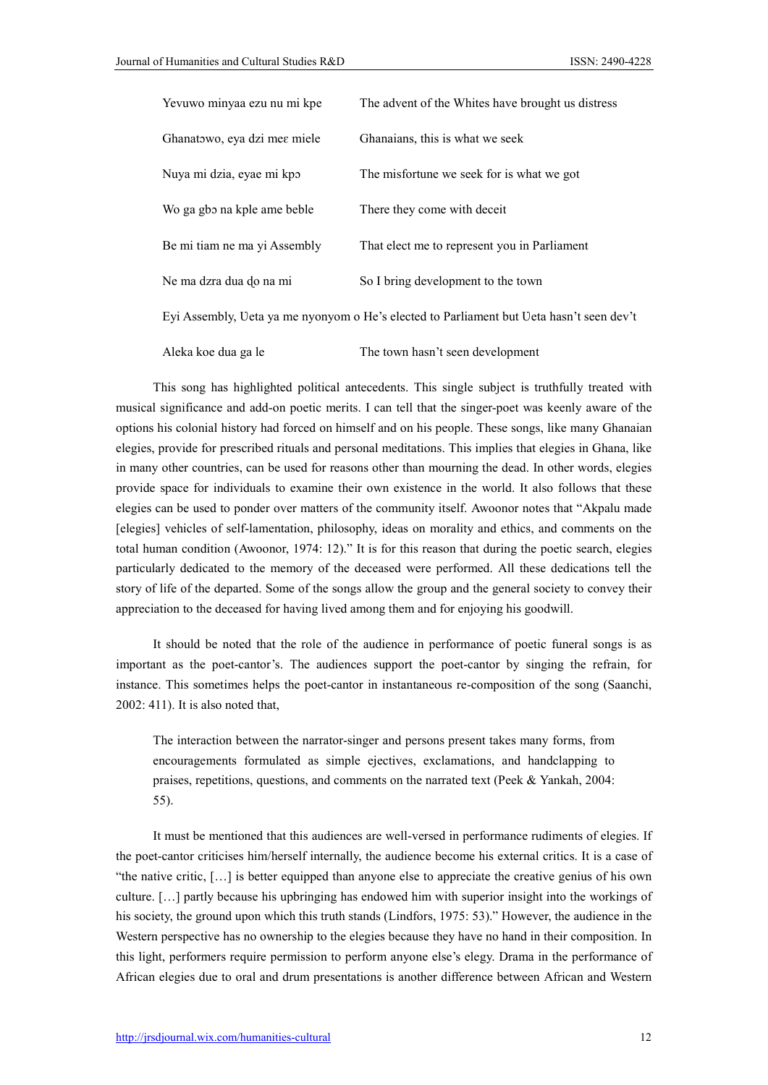| Yevuwo minyaa ezu nu mi kpe                                                              | The advent of the Whites have brought us distress |  |
|------------------------------------------------------------------------------------------|---------------------------------------------------|--|
| Ghanatowo, eya dzi mea miele                                                             | Ghanaians, this is what we seek                   |  |
| Nuya mi dzia, eyae mi kpo                                                                | The misfortune we seek for is what we got         |  |
| Wo ga gbo na kple ame beble                                                              | There they come with deceit                       |  |
| Be mi tiam ne ma yi Assembly                                                             | That elect me to represent you in Parliament      |  |
| Ne ma dzra dua do na mi                                                                  | So I bring development to the town                |  |
| Eyi Assembly, Ueta ya me nyonyom o He's elected to Parliament but Ueta hasn't seen dev't |                                                   |  |
|                                                                                          |                                                   |  |

This song has highlighted political antecedents. This single subject is truthfully treated with musical significance and add-on poetic merits. I can tell that the singer-poet was keenly aware of the options his colonial history had forced on himself and on his people. These songs, like many Ghanaian elegies, provide for prescribed rituals and personal meditations. This implies that elegies in Ghana, like in many other countries, can be used for reasons other than mourning the dead. In other words, elegies provide space for individuals to examine their own existence in the world. It also follows that these elegies can be used to ponder over matters of the community itself. Awoonor notes that "Akpalu made [elegies] vehicles of self-lamentation, philosophy, ideas on morality and ethics, and comments on the total human condition (Awoonor, 1974: 12)." It is for this reason that during the poetic search, elegies particularly dedicated to the memory of the deceased were performed. All these dedications tell the story of life of the departed. Some of the songs allow the group and the general society to convey their appreciation to the deceased for having lived among them and for enjoying his goodwill.

Aleka koe dua ga le The town hasn't seen development

It should be noted that the role of the audience in performance of poetic funeral songs is as important as the poet-cantor's. The audiences support the poet-cantor by singing the refrain, for instance. This sometimes helps the poet-cantor in instantaneous re-composition of the song (Saanchi, 2002: 411). It is also noted that,

The interaction between the narrator-singer and persons present takes many forms, from encouragements formulated as simple ejectives, exclamations, and handclapping to praises, repetitions, questions, and comments on the narrated text (Peek & Yankah, 2004: 55).

It must be mentioned that this audiences are well-versed in performance rudiments of elegies. If the poet-cantor criticises him/herself internally, the audience become his external critics. It is a case of "the native critic, […] is better equipped than anyone else to appreciate the creative genius of his own culture. […] partly because his upbringing has endowed him with superior insight into the workings of his society, the ground upon which this truth stands (Lindfors, 1975: 53)." However, the audience in the Western perspective has no ownership to the elegies because they have no hand in their composition. In this light, performers require permission to perform anyone else's elegy. Drama in the performance of African elegies due to oral and drum presentations is another difference between African and Western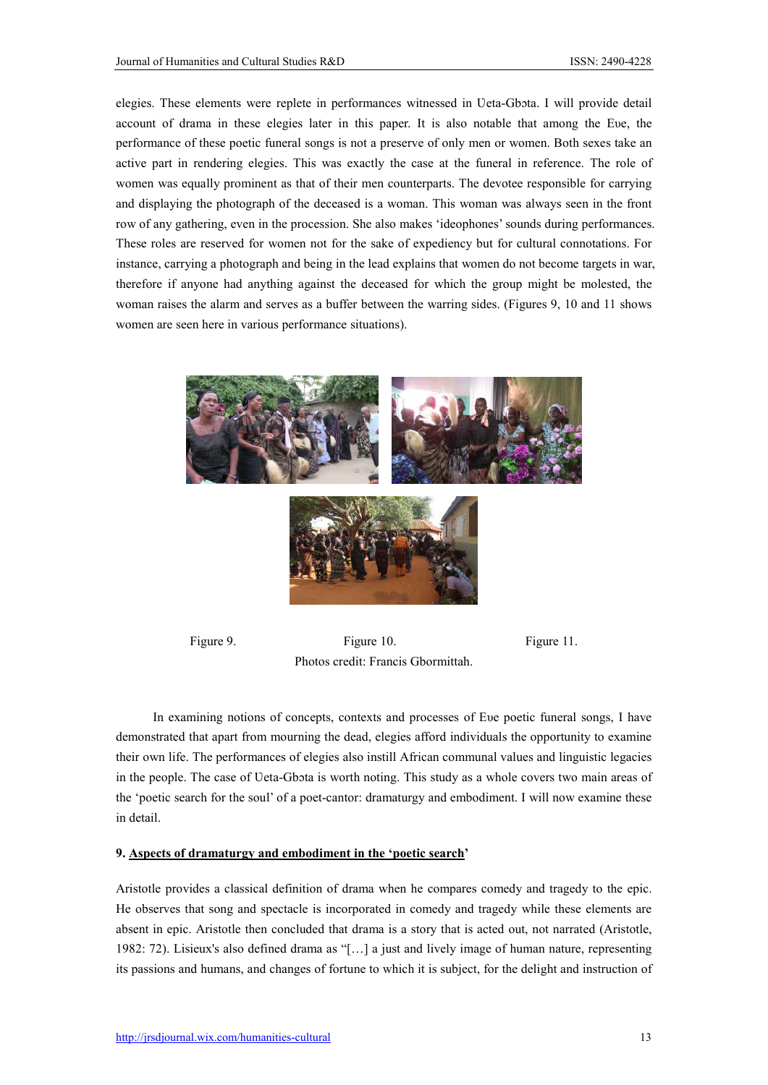elegies. These elements were replete in performances witnessed in Ueta-Gbota. I will provide detail account of drama in these elegies later in this paper. It is also notable that among the Eυe, the performance of these poetic funeral songs is not a preserve of only men or women. Both sexes take an active part in rendering elegies. This was exactly the case at the funeral in reference. The role of women was equally prominent as that of their men counterparts. The devotee responsible for carrying and displaying the photograph of the deceased is a woman. This woman was always seen in the front row of any gathering, even in the procession. She also makes 'ideophones' sounds during performances. These roles are reserved for women not for the sake of expediency but for cultural connotations. For instance, carrying a photograph and being in the lead explains that women do not become targets in war, therefore if anyone had anything against the deceased for which the group might be molested, the woman raises the alarm and serves as a buffer between the warring sides. (Figures 9, 10 and 11 shows women are seen here in various performance situations).



Figure 9. Figure 10. Figure 11. Photos credit: Francis Gbormittah.

In examining notions of concepts, contexts and processes of Eve poetic funeral songs, I have demonstrated that apart from mourning the dead, elegies afford individuals the opportunity to examine their own life. The performances of elegies also instill African communal values and linguistic legacies in the people. The case of Ueta-Gbota is worth noting. This study as a whole covers two main areas of the 'poetic search for the soul' of a poet-cantor: dramaturgy and embodiment. I will now examine these in detail.

# 9. Aspects of dramaturgy and embodiment in the 'poetic search'

Aristotle provides a classical definition of drama when he compares comedy and tragedy to the epic. He observes that song and spectacle is incorporated in comedy and tragedy while these elements are absent in epic. Aristotle then concluded that drama is a story that is acted out, not narrated (Aristotle, 1982: 72). Lisieux's also defined drama as "[…] a just and lively image of human nature, representing its passions and humans, and changes of fortune to which it is subject, for the delight and instruction of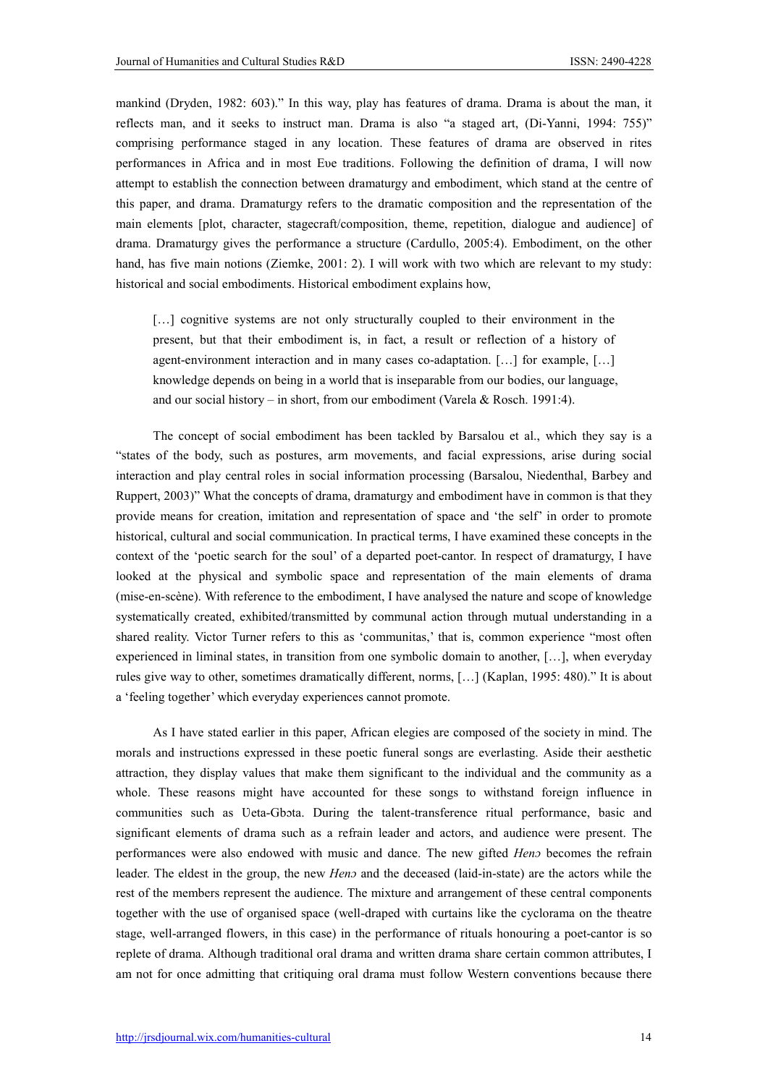mankind (Dryden, 1982: 603)." In this way, play has features of drama. Drama is about the man, it reflects man, and it seeks to instruct man. Drama is also "a staged art, (Di-Yanni, 1994: 755)" comprising performance staged in any location. These features of drama are observed in rites performances in Africa and in most Eυe traditions. Following the definition of drama, I will now attempt to establish the connection between dramaturgy and embodiment, which stand at the centre of this paper, and drama. Dramaturgy refers to the dramatic composition and the representation of the main elements [plot, character, stagecraft/composition, theme, repetition, dialogue and audience] of drama. Dramaturgy gives the performance a structure (Cardullo, 2005:4). Embodiment, on the other hand, has five main notions (Ziemke, 2001: 2). I will work with two which are relevant to my study: historical and social embodiments. Historical embodiment explains how,

[...] cognitive systems are not only structurally coupled to their environment in the present, but that their embodiment is, in fact, a result or reflection of a history of agent-environment interaction and in many cases co-adaptation. […] for example, […] knowledge depends on being in a world that is inseparable from our bodies, our language, and our social history – in short, from our embodiment (Varela & Rosch. 1991:4).

The concept of social embodiment has been tackled by Barsalou et al., which they say is a "states of the body, such as postures, arm movements, and facial expressions, arise during social interaction and play central roles in social information processing (Barsalou, Niedenthal, Barbey and Ruppert, 2003)" What the concepts of drama, dramaturgy and embodiment have in common is that they provide means for creation, imitation and representation of space and 'the self' in order to promote historical, cultural and social communication. In practical terms, I have examined these concepts in the context of the 'poetic search for the soul' of a departed poet-cantor. In respect of dramaturgy, I have looked at the physical and symbolic space and representation of the main elements of drama (mise-en-scène). With reference to the embodiment, I have analysed the nature and scope of knowledge systematically created, exhibited/transmitted by communal action through mutual understanding in a shared reality. Victor Turner refers to this as 'communitas,' that is, common experience "most often experienced in liminal states, in transition from one symbolic domain to another, […], when everyday rules give way to other, sometimes dramatically different, norms, […] (Kaplan, 1995: 480)." It is about a 'feeling together' which everyday experiences cannot promote.

As I have stated earlier in this paper, African elegies are composed of the society in mind. The morals and instructions expressed in these poetic funeral songs are everlasting. Aside their aesthetic attraction, they display values that make them significant to the individual and the community as a whole. These reasons might have accounted for these songs to withstand foreign influence in communities such as Ueta-Gbota. During the talent-transference ritual performance, basic and significant elements of drama such as a refrain leader and actors, and audience were present. The performances were also endowed with music and dance. The new gifted *Henɔ* becomes the refrain leader. The eldest in the group, the new *Henɔ* and the deceased (laid-in-state) are the actors while the rest of the members represent the audience. The mixture and arrangement of these central components together with the use of organised space (well-draped with curtains like the cyclorama on the theatre stage, well-arranged flowers, in this case) in the performance of rituals honouring a poet-cantor is so replete of drama. Although traditional oral drama and written drama share certain common attributes, I am not for once admitting that critiquing oral drama must follow Western conventions because there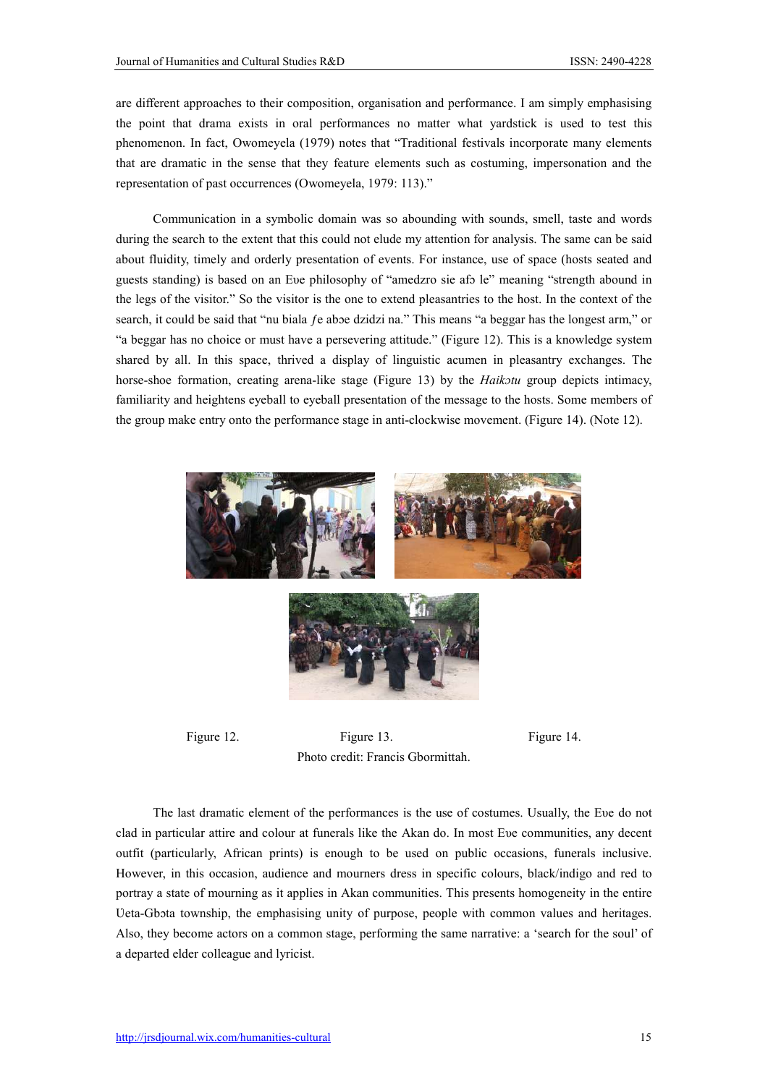are different approaches to their composition, organisation and performance. I am simply emphasising the point that drama exists in oral performances no matter what yardstick is used to test this phenomenon. In fact, Owomeyela (1979) notes that "Traditional festivals incorporate many elements that are dramatic in the sense that they feature elements such as costuming, impersonation and the representation of past occurrences (Owomeyela, 1979: 113)."

Communication in a symbolic domain was so abounding with sounds, smell, taste and words during the search to the extent that this could not elude my attention for analysis. The same can be said about fluidity, timely and orderly presentation of events. For instance, use of space (hosts seated and guests standing) is based on an Eve philosophy of "amedzro sie afo le" meaning "strength abound in the legs of the visitor." So the visitor is the one to extend pleasantries to the host. In the context of the search, it could be said that "nu biala fe aboe dzidzi na." This means "a beggar has the longest arm," or "a beggar has no choice or must have a persevering attitude." (Figure 12). This is a knowledge system shared by all. In this space, thrived a display of linguistic acumen in pleasantry exchanges. The horse-shoe formation, creating arena-like stage (Figure 13) by the *Haikotu* group depicts intimacy, familiarity and heightens eyeball to eyeball presentation of the message to the hosts. Some members of the group make entry onto the performance stage in anti-clockwise movement. (Figure 14). (Note 12).





Figure 12. Figure 13. Figure 14. Photo credit: Francis Gbormittah.

The last dramatic element of the performances is the use of costumes. Usually, the Eυe do not clad in particular attire and colour at funerals like the Akan do. In most Eυe communities, any decent outfit (particularly, African prints) is enough to be used on public occasions, funerals inclusive. However, in this occasion, audience and mourners dress in specific colours, black/indigo and red to portray a state of mourning as it applies in Akan communities. This presents homogeneity in the entire Ueta-Gbota township, the emphasising unity of purpose, people with common values and heritages. Also, they become actors on a common stage, performing the same narrative: a 'search for the soul' of a departed elder colleague and lyricist.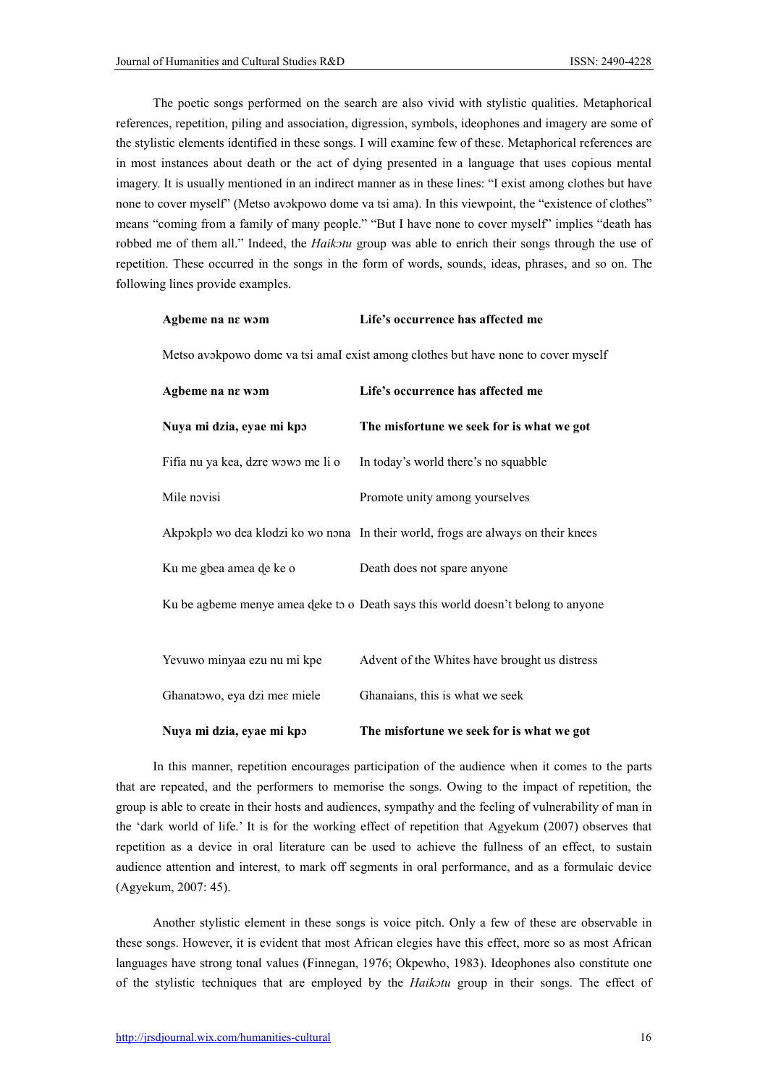The poetic songs performed on the search are also vivid with stylistic qualities. Metaphorical references, repetition, piling and association, digression, symbols, ideophones and imagery are some of the stylistic elements identified in these songs. I will examine few of these. Metaphorical references are in most instances about death or the act of dying presented in a language that uses copious mental imagery. It is usually mentioned in an indirect manner as in these lines: "I exist among clothes but have none to cover myself" (Metso avokpowo dome va tsi ama). In this viewpoint, the "existence of clothes" means "coming from a family of many people." "But I have none to cover myself" implies "death has robbed me of them all." Indeed, the *Haikɔtu* group was able to enrich their songs through the use of repetition. These occurred in the songs in the form of words, sounds, ideas, phrases, and so on. The following lines provide examples.

Metso avɔkpowo dome va tsi amaI exist among clothes but have none to cover myself

| Agbeme na na wom                   | Life's occurrence has affected me                                                 |
|------------------------------------|-----------------------------------------------------------------------------------|
| Nuya mi dzia, eyae mi kpo          | The misfortune we seek for is what we got                                         |
| Fifia nu ya kea, dzre wowo me li o | In today's world there's no squabble                                              |
| Mile novisi                        | Promote unity among yourselves                                                    |
|                                    | Akpokplo wo dea klodzi ko wo nona In their world, frogs are always on their knees |
| Ku me gbea amea de ke o            | Death does not spare anyone                                                       |
|                                    | Ku be agbeme menye amea deke to o Death says this world doesn't belong to anyone  |
|                                    |                                                                                   |
| Yevuwo minyaa ezu nu mi kpe        | Advent of the Whites have brought us distress                                     |
| Ghanatowo, eya dzi mes miele       | Ghanaians, this is what we seek                                                   |
| Nuya mi dzia, eyae mi kpo          | The misfortune we seek for is what we got                                         |

In this manner, repetition encourages participation of the audience when it comes to the parts that are repeated, and the performers to memorise the songs. Owing to the impact of repetition, the group is able to create in their hosts and audiences, sympathy and the feeling of vulnerability of man in the 'dark world of life.' It is for the working effect of repetition that Agyekum (2007) observes that repetition as a device in oral literature can be used to achieve the fullness of an effect, to sustain audience attention and interest, to mark off segments in oral performance, and as a formulaic device (Agyekum, 2007: 45).

Another stylistic element in these songs is voice pitch. Only a few of these are observable in these songs. However, it is evident that most African elegies have this effect, more so as most African languages have strong tonal values (Finnegan, 1976; Okpewho, 1983). Ideophones also constitute one of the stylistic techniques that are employed by the *Haikɔtu* group in their songs. The effect of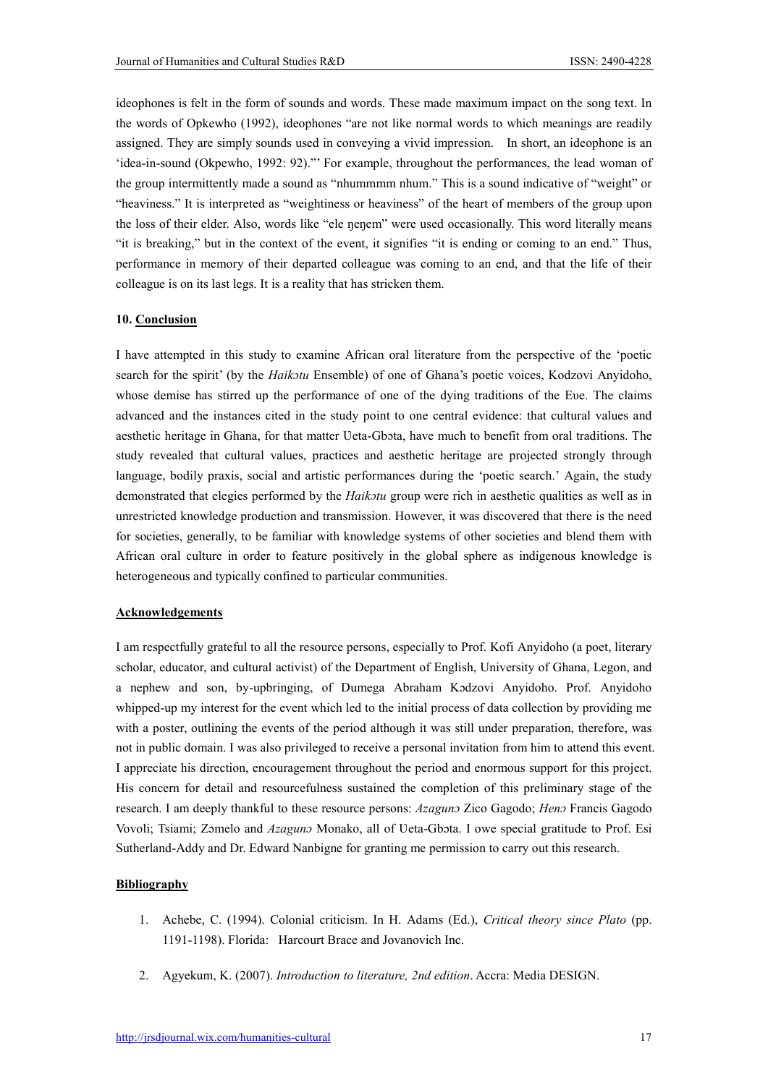ideophones is felt in the form of sounds and words. These made maximum impact on the song text. In the words of Opkewho (1992), ideophones "are not like normal words to which meanings are readily assigned. They are simply sounds used in conveying a vivid impression. In short, an ideophone is an 'idea-in-sound (Okpewho, 1992: 92)."' For example, throughout the performances, the lead woman of the group intermittently made a sound as "nhummmm nhum." This is a sound indicative of "weight" or "heaviness." It is interpreted as "weightiness or heaviness" of the heart of members of the group upon the loss of their elder. Also, words like "ele ŋeŋem" were used occasionally. This word literally means "it is breaking," but in the context of the event, it signifies "it is ending or coming to an end." Thus, performance in memory of their departed colleague was coming to an end, and that the life of their colleague is on its last legs. It is a reality that has stricken them.

## 10. Conclusion

I have attempted in this study to examine African oral literature from the perspective of the 'poetic search for the spirit' (by the *Haikɔtu* Ensemble) of one of Ghana's poetic voices, Kodzovi Anyidoho, whose demise has stirred up the performance of one of the dying traditions of the Eυe. The claims advanced and the instances cited in the study point to one central evidence: that cultural values and aesthetic heritage in Ghana, for that matter Ueta-Gbota, have much to benefit from oral traditions. The study revealed that cultural values, practices and aesthetic heritage are projected strongly through language, bodily praxis, social and artistic performances during the 'poetic search.' Again, the study demonstrated that elegies performed by the *Haikɔtu* group were rich in aesthetic qualities as well as in unrestricted knowledge production and transmission. However, it was discovered that there is the need for societies, generally, to be familiar with knowledge systems of other societies and blend them with African oral culture in order to feature positively in the global sphere as indigenous knowledge is heterogeneous and typically confined to particular communities.

## **Acknowledgements**

I am respectfully grateful to all the resource persons, especially to Prof. Kofi Anyidoho (a poet, literary scholar, educator, and cultural activist) of the Department of English, University of Ghana, Legon, and a nephew and son, by-upbringing, of Dumega Abraham Kɔdzovi Anyidoho. Prof. Anyidoho whipped-up my interest for the event which led to the initial process of data collection by providing me with a poster, outlining the events of the period although it was still under preparation, therefore, was not in public domain. I was also privileged to receive a personal invitation from him to attend this event. I appreciate his direction, encouragement throughout the period and enormous support for this project. His concern for detail and resourcefulness sustained the completion of this preliminary stage of the research. I am deeply thankful to these resource persons: *Azagunɔ* Zico Gagodo; *Henɔ* Francis Gagodo Vovoli; Tsiami; Zomelo and *Azaguno* Monako, all of Ueta-Gbota. I owe special gratitude to Prof. Esi Sutherland-Addy and Dr. Edward Nanbigne for granting me permission to carry out this research.

#### **Bibliography**

- 1. Achebe, C. (1994). Colonial criticism. In H. Adams (Ed.), *Critical theory since Plato* (pp. 1191-1198). Florida: Harcourt Brace and Jovanovich Inc.
- 2. Agyekum, K. (2007). *Introduction to literature, 2nd edition*. Accra: Media DESIGN.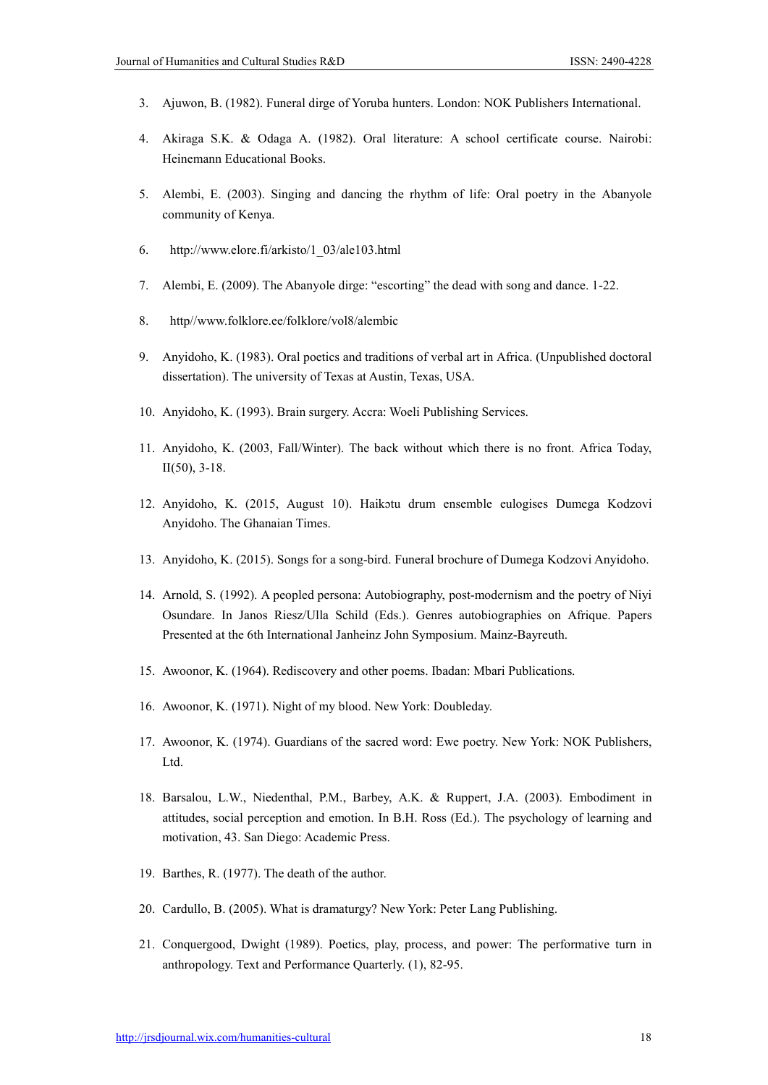- 3. Ajuwon, B. (1982). Funeral dirge of Yoruba hunters. London: NOK Publishers International.
- 4. Akiraga S.K. & Odaga A. (1982). Oral literature: A school certificate course. Nairobi: Heinemann Educational Books.
- 5. Alembi, E. (2003). Singing and dancing the rhythm of life: Oral poetry in the Abanyole community of Kenya.
- 6. http://www.elore.fi/arkisto/1\_03/ale103.html
- 7. Alembi, E. (2009). The Abanyole dirge: "escorting" the dead with song and dance. 1-22.
- 8. http//www.folklore.ee/folklore/vol8/alembic
- 9. Anyidoho, K. (1983). Oral poetics and traditions of verbal art in Africa. (Unpublished doctoral dissertation). The university of Texas at Austin, Texas, USA.
- 10. Anyidoho, K. (1993). Brain surgery. Accra: Woeli Publishing Services.
- 11. Anyidoho, K. (2003, Fall/Winter). The back without which there is no front. Africa Today, II(50), 3-18.
- 12. Anyidoho, K. (2015, August 10). Haikɔtu drum ensemble eulogises Dumega Kodzovi Anyidoho. The Ghanaian Times.
- 13. Anyidoho, K. (2015). Songs for a song-bird. Funeral brochure of Dumega Kodzovi Anyidoho.
- 14. Arnold, S. (1992). A peopled persona: Autobiography, post-modernism and the poetry of Niyi Osundare. In Janos Riesz/Ulla Schild (Eds.). Genres autobiographies on Afrique. Papers Presented at the 6th International Janheinz John Symposium. Mainz-Bayreuth.
- 15. Awoonor, K. (1964). Rediscovery and other poems. Ibadan: Mbari Publications.
- 16. Awoonor, K. (1971). Night of my blood. New York: Doubleday.
- 17. Awoonor, K. (1974). Guardians of the sacred word: Ewe poetry. New York: NOK Publishers, Ltd.
- 18. Barsalou, L.W., Niedenthal, P.M., Barbey, A.K. & Ruppert, J.A. (2003). Embodiment in attitudes, social perception and emotion. In B.H. Ross (Ed.). The psychology of learning and motivation, 43. San Diego: Academic Press.
- 19. Barthes, R. (1977). The death of the author.
- 20. Cardullo, B. (2005). What is dramaturgy? New York: Peter Lang Publishing.
- 21. Conquergood, Dwight (1989). Poetics, play, process, and power: The performative turn in anthropology. Text and Performance Quarterly. (1), 82-95.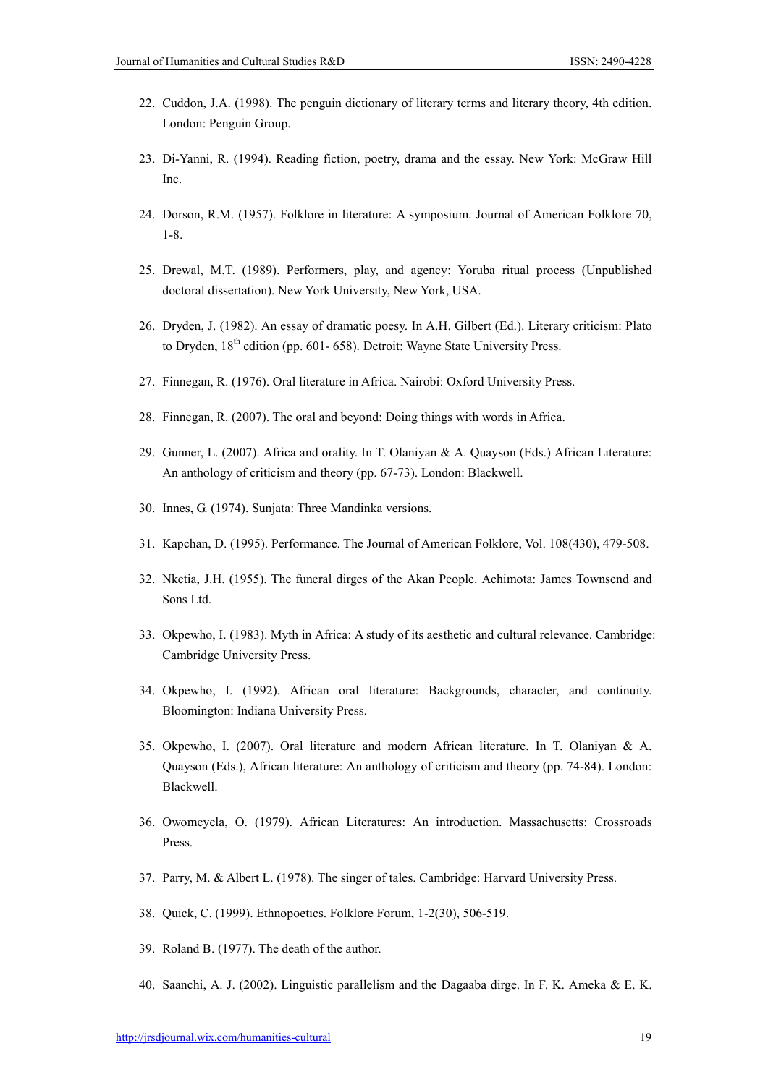- 22. Cuddon, J.A. (1998). The penguin dictionary of literary terms and literary theory, 4th edition. London: Penguin Group.
- 23. Di-Yanni, R. (1994). Reading fiction, poetry, drama and the essay. New York: McGraw Hill Inc.
- 24. Dorson, R.M. (1957). Folklore in literature: A symposium. Journal of American Folklore 70, 1-8.
- 25. Drewal, M.T. (1989). Performers, play, and agency: Yoruba ritual process (Unpublished doctoral dissertation). New York University, New York, USA.
- 26. Dryden, J. (1982). An essay of dramatic poesy. In A.H. Gilbert (Ed.). Literary criticism: Plato to Dryden,  $18<sup>th</sup>$  edition (pp. 601- 658). Detroit: Wayne State University Press.
- 27. Finnegan, R. (1976). Oral literature in Africa. Nairobi: Oxford University Press.
- 28. Finnegan, R. (2007). The oral and beyond: Doing things with words in Africa.
- 29. Gunner, L. (2007). Africa and orality. In T. Olaniyan & A. Quayson (Eds.) African Literature: An anthology of criticism and theory (pp. 67-73). London: Blackwell.
- 30. Innes, G. (1974). Sunjata: Three Mandinka versions.
- 31. Kapchan, D. (1995). Performance. The Journal of American Folklore, Vol. 108(430), 479-508.
- 32. Nketia, J.H. (1955). The funeral dirges of the Akan People. Achimota: James Townsend and Sons Ltd.
- 33. Okpewho, I. (1983). Myth in Africa: A study of its aesthetic and cultural relevance. Cambridge: Cambridge University Press.
- 34. Okpewho, I. (1992). African oral literature: Backgrounds, character, and continuity. Bloomington: Indiana University Press.
- 35. Okpewho, I. (2007). Oral literature and modern African literature. In T. Olaniyan & A. Quayson (Eds.), African literature: An anthology of criticism and theory (pp. 74-84). London: Blackwell.
- 36. Owomeyela, O. (1979). African Literatures: An introduction. Massachusetts: Crossroads Press.
- 37. Parry, M. & Albert L. (1978). The singer of tales. Cambridge: Harvard University Press.
- 38. Quick, C. (1999). Ethnopoetics. Folklore Forum, 1-2(30), 506-519.
- 39. Roland B. (1977). The death of the author.
- 40. Saanchi, A. J. (2002). Linguistic parallelism and the Dagaaba dirge. In F. K. Ameka & E. K.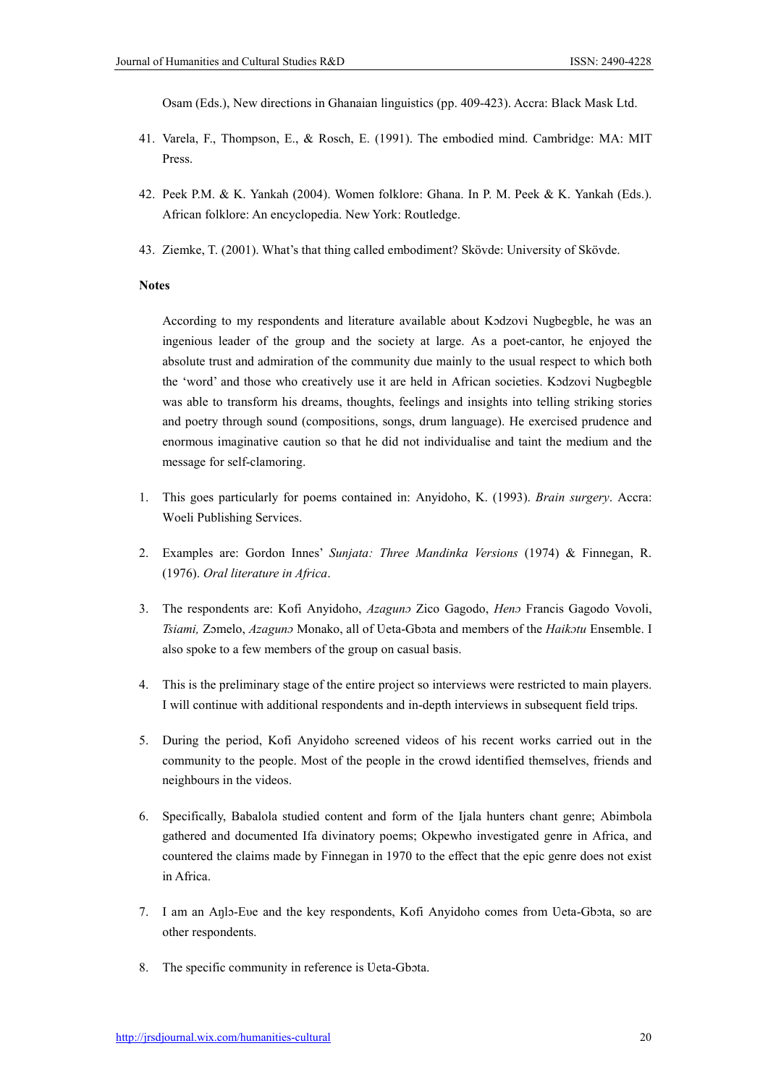Osam (Eds.), New directions in Ghanaian linguistics (pp. 409-423). Accra: Black Mask Ltd.

- 41. Varela, F., Thompson, E., & Rosch, E. (1991). The embodied mind. Cambridge: MA: MIT Press.
- 42. Peek P.M. & K. Yankah (2004). Women folklore: Ghana. In P. M. Peek & K. Yankah (Eds.). African folklore: An encyclopedia. New York: Routledge.
- 43. Ziemke, T. (2001). What's that thing called embodiment? Skövde: University of Skövde.

#### Notes

According to my respondents and literature available about Kɔdzovi Nugbegble, he was an ingenious leader of the group and the society at large. As a poet-cantor, he enjoyed the absolute trust and admiration of the community due mainly to the usual respect to which both the 'word' and those who creatively use it are held in African societies. Kɔdzovi Nugbegble was able to transform his dreams, thoughts, feelings and insights into telling striking stories and poetry through sound (compositions, songs, drum language). He exercised prudence and enormous imaginative caution so that he did not individualise and taint the medium and the message for self-clamoring.

- 1. This goes particularly for poems contained in: Anyidoho, K. (1993). *Brain surgery*. Accra: Woeli Publishing Services.
- 2. Examples are: Gordon Innes' *Sunjata: Three Mandinka Versions* (1974) & Finnegan, R. (1976). *Oral literature in Africa*.
- 3. The respondents are: Kofi Anyidoho, *Azagunɔ* Zico Gagodo, *Henɔ* Francis Gagodo Vovoli, *Tsiami,* Zɔmelo, *Azagunɔ* Monako, all of Ʋeta-Gbɔta and members of the *Haikɔtu* Ensemble. I also spoke to a few members of the group on casual basis.
- 4. This is the preliminary stage of the entire project so interviews were restricted to main players. I will continue with additional respondents and in-depth interviews in subsequent field trips.
- 5. During the period, Kofi Anyidoho screened videos of his recent works carried out in the community to the people. Most of the people in the crowd identified themselves, friends and neighbours in the videos.
- 6. Specifically, Babalola studied content and form of the Ijala hunters chant genre; Abimbola gathered and documented Ifa divinatory poems; Okpewho investigated genre in Africa, and countered the claims made by Finnegan in 1970 to the effect that the epic genre does not exist in Africa.
- 7. I am an Anlo-Eve and the key respondents, Kofi Anyidoho comes from Ueta-Gbota, so are other respondents.
- 8. The specific community in reference is Ueta-Gbota.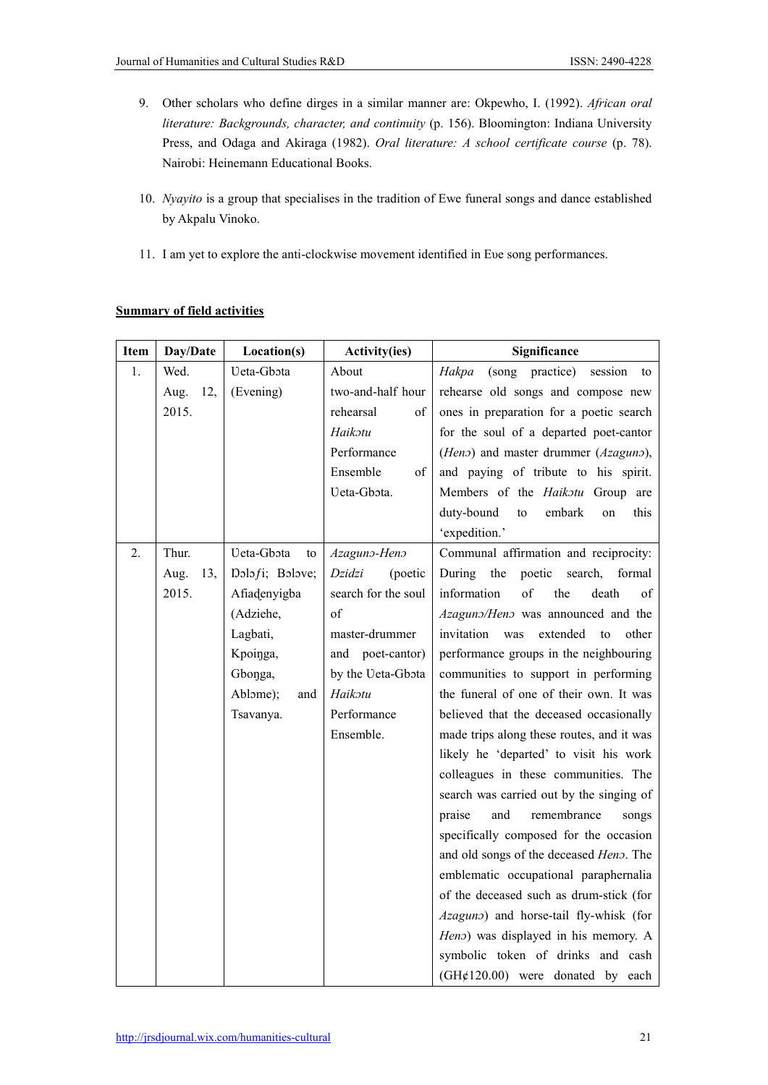- 9. Other scholars who define dirges in a similar manner are: Okpewho, I. (1992). *African oral literature: Backgrounds, character, and continuity* (p. 156). Bloomington: Indiana University Press, and Odaga and Akiraga (1982). *Oral literature: A school certificate course* (p. 78). Nairobi: Heinemann Educational Books.
- 10. *Nyayito* is a group that specialises in the tradition of Ewe funeral songs and dance established by Akpalu Vinoko.
- 11. I am yet to explore the anti-clockwise movement identified in Eve song performances.

| <b>Item</b> | Day/Date    | Location(s)      | <b>Activity(ies)</b> | Significance                                            |
|-------------|-------------|------------------|----------------------|---------------------------------------------------------|
| 1.          | Wed.        | Ueta-Gbota       | About                | Hakpa<br>(song)<br>practice)<br>session<br>to           |
|             | Aug.<br>12, | (Evening)        | two-and-half hour    | rehearse old songs and compose new                      |
|             | 2015.       |                  | rehearsal<br>of      | ones in preparation for a poetic search                 |
|             |             |                  | Haikotu              | for the soul of a departed poet-cantor                  |
|             |             |                  | Performance          | (Heno) and master drummer (Azaguno),                    |
|             |             |                  | Ensemble<br>of       | and paying of tribute to his spirit.                    |
|             |             |                  | Ueta-Gbota.          | Members of the Haikotu Group are                        |
|             |             |                  |                      | duty-bound<br>embark<br>this<br>to<br>on                |
|             |             |                  |                      | 'expedition.'                                           |
| 2.          | Thur.       | Ueta-Gbota<br>to | Azaguno-Heno         | Communal affirmation and reciprocity:                   |
|             | Aug.<br>13, | Dolofi; Bolove;  | Dzidzi<br>(poetic    | During<br>the<br>poetic<br>search,<br>formal            |
|             | 2015.       | Afiadenyigba     | search for the soul  | $\alpha$ f<br>information<br>the<br>death<br>$\alpha$ f |
|             |             | (Adziehe,        | of                   | Azaguno/Heno was announced and the                      |
|             |             | Lagbati,         | master-drummer       | invitation<br>extended<br>other<br>was<br>to            |
|             |             | Kpoinga,         | and poet-cantor)     | performance groups in the neighbouring                  |
|             |             | Gbonga,          | by the Ueta-Gbota    | communities to support in performing                    |
|             |             | Ablome);<br>and  | Haikotu              | the funeral of one of their own. It was                 |
|             |             | Tsavanya.        | Performance          | believed that the deceased occasionally                 |
|             |             |                  | Ensemble.            | made trips along these routes, and it was               |
|             |             |                  |                      | likely he 'departed' to visit his work                  |
|             |             |                  |                      | colleagues in these communities. The                    |
|             |             |                  |                      | search was carried out by the singing of                |
|             |             |                  |                      | remembrance<br>and<br>praise<br>songs                   |
|             |             |                  |                      | specifically composed for the occasion                  |
|             |             |                  |                      | and old songs of the deceased Heno. The                 |
|             |             |                  |                      | emblematic occupational paraphernalia                   |
|             |             |                  |                      | of the deceased such as drum-stick (for                 |
|             |             |                  |                      | Azaguno) and horse-tail fly-whisk (for                  |
|             |             |                  |                      | Heno) was displayed in his memory. A                    |
|             |             |                  |                      | symbolic token of drinks and cash                       |
|             |             |                  |                      | $(GH\mathcal{L}120.00)$ were donated by each            |

# Summary of field activities